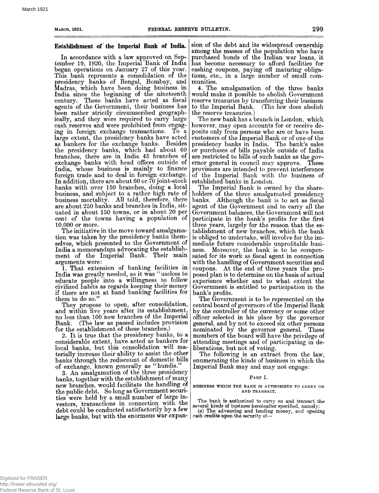## **Establishment of the Imperial Bank of India.**

In accordance with a law approved on September 19, 1920, the Imperial Bank of India began operations on January 27 of this year. This bank represents a consolidation of the presidency banks of Bengal, Bombay, and Madras, which have been doing business in India since the beginning of the nineteenth century. These banks have acted as fiscal agents of the Government, their business has been rather strictly circumscribed geographically, and they were required to carry large cash reserves and were prohibited from engaging in foreign exchange transactions. To a large extent, the presidency banks have acted as bankers for the exchange banks. Besides the presidency banks, which had about 60 branches, there are in India 45 branches of exchange banks with head offices outside of India, whose business is mainly to finance foreign trade and to deal in foreign exchange. In addition, there are about 60 or 70 joint-stock banks with over 150 branches, doing a local business, and subject to a rather high rate of business mortality. All told, therefore, there are about 250 banks and branches in India, situated in about 150 towns, or in about 20 per cent of the towns having a population of 10,000 or more.

The initiative in the move toward amalgamation was taken by the presidency banks themselves, which presented to the Government of India a memorandum advocating the establishment of the Imperial Bank. Their main arguments were:

1. That extension of banking facilities in India was greatly needed, as it was " useless to educate people into a willingness to follow civilized habits as regards keeping their money if there are not at hand banking facilities for them to do so.'<sup>7</sup>

They propose to open, after consolidation, and within five years after its establishment, no less than 100 new branches of the Imperial Bank. (The law as passed includes provision for the establishment of these branches.)

2. It is true that the presidency banks, to a considerable extent, have acted as bankers for local banks, but this consolidation will materially increase their ability to assist the other banks through the rediscount of domestic bills of exchange, known generally as "hundis."

3. An amalgamation of the three presidency banks, together with the establishment of many new branches, would facilitate the handling of the public debt. So long as Government securities were held by a small number of large investors, transactions in connection with the debt could be conducted satisfactorily by a few large banks, but with the enormous war expan-cash **credits upon** the security of—

sion of the debt and its widespread ownership among the masses of the population who have purchased bonds of the Indian war loans, it has become necessary to afford facilities for cashing coupons, paying off maturing obligations, etc., in a large number of small communities.

4. The amalgamation of the three banks would make it possible to abolish Government reserve treasuries by transferring their business<br>to the Imperial Bank. (The law does abolish to the Imperial Bank. the reserve treasuries.)

The new bank has a branch in London, which however, may open accounts for or receive deposits only from persons who are or have been customers of the Imperial Bank or of one of the presidency banks in India. The bank's sales or purchases of bills payable outside of India are restricted to bills of such banks as the governor general in council may approve. These provisions are intended to prevent interference of the Imperial Bank with the business of established banks in London.

The Imperial Bank is owned by the shareholders of the three amalgamated presidency banks. Although the bank is to act as fiscal agent of the Government and to carry all the Government balances, the Government will not participate in the bank's profits for the first three years, largely for the reason that the establishment of new branches, which the bank is obliged to undertake, will involve for the immediate future considerable unprofitable business. Moreover, the bank is to be compensated for its work as fiscal agent in connection with the handling of Government securities and coupons. At the end of three years the proposed plan is to determine on the basis of actual experience whether and to what extent the Government is entitled to participation in the bank's profits.

The Government is to be represented on the central board of governors of the Imperial Bank by the controller of the currency or some other officer selected in his place by the governor general, and by not to exceed six other persons nominated by the governor general. These members of the board will have the privilege of attending meetings and of participating in deliberations, but not of voting.

The following is an extract from the law, enumerating the kinds of business in which the Imperial Bank may and may not engage:

## PART I.

**BUSINESS WHICH THE** BANK IS AUTHORIZED TO CARRY ON AND TRANSACT.

The bank is authorized to carry on and transact the several kinds of business hereinafter specified, namely: *(a)* The advancing and lending money, and opening